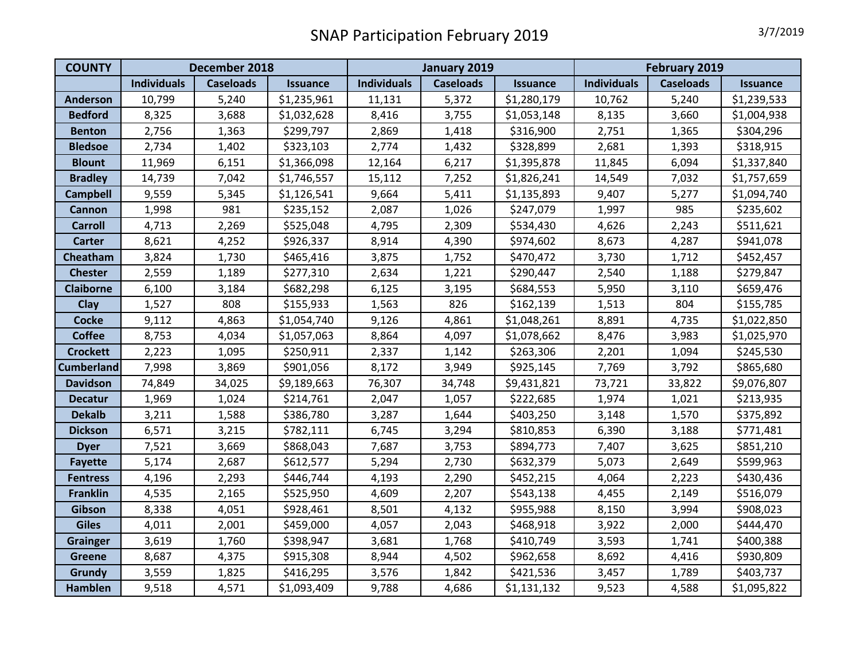| <b>COUNTY</b>     | December 2018      |                  |                 | January 2019       |                  |                 | February 2019      |                  |                 |
|-------------------|--------------------|------------------|-----------------|--------------------|------------------|-----------------|--------------------|------------------|-----------------|
|                   | <b>Individuals</b> | <b>Caseloads</b> | <b>Issuance</b> | <b>Individuals</b> | <b>Caseloads</b> | <b>Issuance</b> | <b>Individuals</b> | <b>Caseloads</b> | <b>Issuance</b> |
| <b>Anderson</b>   | 10,799             | 5,240            | \$1,235,961     | 11,131             | 5,372            | \$1,280,179     | 10,762             | 5,240            | \$1,239,533     |
| <b>Bedford</b>    | 8,325              | 3,688            | \$1,032,628     | 8,416              | 3,755            | \$1,053,148     | 8,135              | 3,660            | \$1,004,938     |
| <b>Benton</b>     | 2,756              | 1,363            | \$299,797       | 2,869              | 1,418            | \$316,900       | 2,751              | 1,365            | \$304,296       |
| <b>Bledsoe</b>    | 2,734              | 1,402            | \$323,103       | 2,774              | 1,432            | \$328,899       | 2,681              | 1,393            | \$318,915       |
| <b>Blount</b>     | 11,969             | 6,151            | \$1,366,098     | 12,164             | 6,217            | \$1,395,878     | 11,845             | 6,094            | \$1,337,840     |
| <b>Bradley</b>    | 14,739             | 7,042            | \$1,746,557     | 15,112             | 7,252            | \$1,826,241     | 14,549             | 7,032            | \$1,757,659     |
| <b>Campbell</b>   | 9,559              | 5,345            | \$1,126,541     | 9,664              | 5,411            | \$1,135,893     | 9,407              | 5,277            | \$1,094,740     |
| <b>Cannon</b>     | 1,998              | 981              | \$235,152       | 2,087              | 1,026            | \$247,079       | 1,997              | 985              | \$235,602       |
| <b>Carroll</b>    | 4,713              | 2,269            | \$525,048       | 4,795              | 2,309            | \$534,430       | 4,626              | 2,243            | \$511,621       |
| <b>Carter</b>     | 8,621              | 4,252            | \$926,337       | 8,914              | 4,390            | \$974,602       | 8,673              | 4,287            | \$941,078       |
| Cheatham          | 3,824              | 1,730            | \$465,416       | 3,875              | 1,752            | \$470,472       | 3,730              | 1,712            | \$452,457       |
| <b>Chester</b>    | 2,559              | 1,189            | \$277,310       | 2,634              | 1,221            | \$290,447       | 2,540              | 1,188            | \$279,847       |
| <b>Claiborne</b>  | 6,100              | 3,184            | \$682,298       | 6,125              | 3,195            | \$684,553       | 5,950              | 3,110            | \$659,476       |
| <b>Clay</b>       | 1,527              | 808              | \$155,933       | 1,563              | 826              | \$162,139       | 1,513              | 804              | \$155,785       |
| <b>Cocke</b>      | 9,112              | 4,863            | \$1,054,740     | 9,126              | 4,861            | \$1,048,261     | 8,891              | 4,735            | \$1,022,850     |
| <b>Coffee</b>     | 8,753              | 4,034            | \$1,057,063     | 8,864              | 4,097            | \$1,078,662     | 8,476              | 3,983            | \$1,025,970     |
| <b>Crockett</b>   | 2,223              | 1,095            | \$250,911       | 2,337              | 1,142            | \$263,306       | 2,201              | 1,094            | \$245,530       |
| <b>Cumberland</b> | 7,998              | 3,869            | \$901,056       | 8,172              | 3,949            | \$925,145       | 7,769              | 3,792            | \$865,680       |
| <b>Davidson</b>   | 74,849             | 34,025           | \$9,189,663     | 76,307             | 34,748           | \$9,431,821     | 73,721             | 33,822           | \$9,076,807     |
| <b>Decatur</b>    | 1,969              | 1,024            | \$214,761       | 2,047              | 1,057            | \$222,685       | 1,974              | 1,021            | \$213,935       |
| <b>Dekalb</b>     | 3,211              | 1,588            | \$386,780       | 3,287              | 1,644            | \$403,250       | 3,148              | 1,570            | \$375,892       |
| <b>Dickson</b>    | 6,571              | 3,215            | \$782,111       | 6,745              | 3,294            | \$810,853       | 6,390              | 3,188            | \$771,481       |
| <b>Dyer</b>       | 7,521              | 3,669            | \$868,043       | 7,687              | 3,753            | \$894,773       | 7,407              | 3,625            | \$851,210       |
| <b>Fayette</b>    | 5,174              | 2,687            | \$612,577       | 5,294              | 2,730            | \$632,379       | 5,073              | 2,649            | \$599,963       |
| <b>Fentress</b>   | 4,196              | 2,293            | \$446,744       | 4,193              | 2,290            | \$452,215       | 4,064              | 2,223            | \$430,436       |
| <b>Franklin</b>   | 4,535              | 2,165            | \$525,950       | 4,609              | 2,207            | \$543,138       | 4,455              | 2,149            | \$516,079       |
| Gibson            | 8,338              | 4,051            | \$928,461       | 8,501              | 4,132            | \$955,988       | 8,150              | 3,994            | \$908,023       |
| <b>Giles</b>      | 4,011              | 2,001            | \$459,000       | 4,057              | 2,043            | \$468,918       | 3,922              | 2,000            | \$444,470       |
| <b>Grainger</b>   | 3,619              | 1,760            | \$398,947       | 3,681              | 1,768            | \$410,749       | 3,593              | 1,741            | \$400,388       |
| <b>Greene</b>     | 8,687              | 4,375            | \$915,308       | 8,944              | 4,502            | \$962,658       | 8,692              | 4,416            | \$930,809       |
| Grundy            | 3,559              | 1,825            | \$416,295       | 3,576              | 1,842            | \$421,536       | 3,457              | 1,789            | \$403,737       |
| Hamblen           | 9,518              | 4,571            | \$1,093,409     | 9,788              | 4,686            | \$1,131,132     | 9,523              | 4,588            | \$1,095,822     |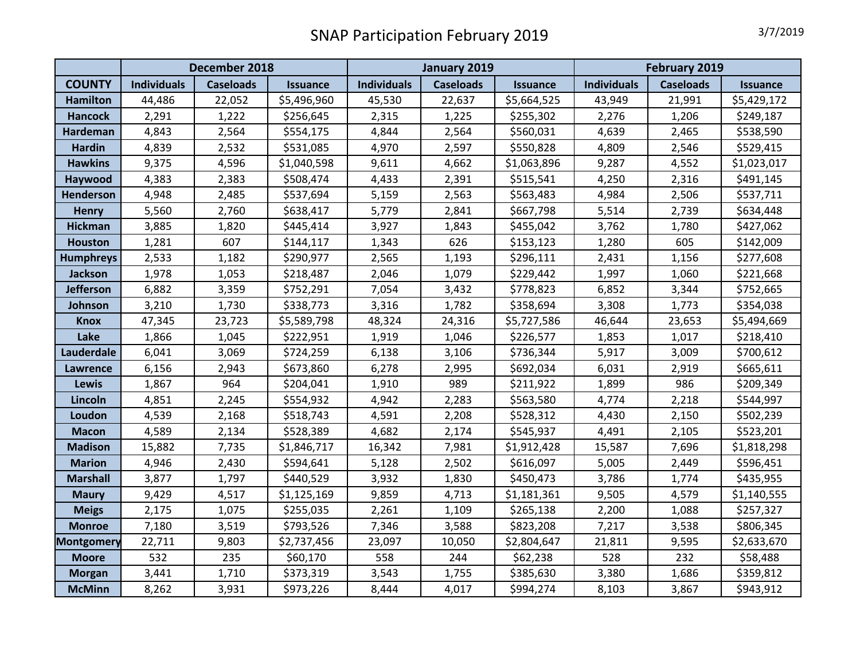|                   | December 2018      |                  |                 | January 2019       |                  |                 | <b>February 2019</b> |                  |                 |
|-------------------|--------------------|------------------|-----------------|--------------------|------------------|-----------------|----------------------|------------------|-----------------|
| <b>COUNTY</b>     | <b>Individuals</b> | <b>Caseloads</b> | <b>Issuance</b> | <b>Individuals</b> | <b>Caseloads</b> | <b>Issuance</b> | <b>Individuals</b>   | <b>Caseloads</b> | <b>Issuance</b> |
| <b>Hamilton</b>   | 44,486             | 22,052           | \$5,496,960     | 45,530             | 22,637           | \$5,664,525     | 43,949               | 21,991           | \$5,429,172     |
| <b>Hancock</b>    | 2,291              | 1,222            | \$256,645       | 2,315              | 1,225            | \$255,302       | 2,276                | 1,206            | \$249,187       |
| <b>Hardeman</b>   | 4,843              | 2,564            | \$554,175       | 4,844              | 2,564            | \$560,031       | 4,639                | 2,465            | \$538,590       |
| <b>Hardin</b>     | 4,839              | 2,532            | \$531,085       | 4,970              | 2,597            | \$550,828       | 4,809                | 2,546            | \$529,415       |
| <b>Hawkins</b>    | 9,375              | 4,596            | \$1,040,598     | 9,611              | 4,662            | \$1,063,896     | 9,287                | 4,552            | \$1,023,017     |
| Haywood           | 4,383              | 2,383            | \$508,474       | 4,433              | 2,391            | \$515,541       | 4,250                | 2,316            | \$491,145       |
| <b>Henderson</b>  | 4,948              | 2,485            | \$537,694       | 5,159              | 2,563            | \$563,483       | 4,984                | 2,506            | \$537,711       |
| <b>Henry</b>      | 5,560              | 2,760            | \$638,417       | 5,779              | 2,841            | \$667,798       | 5,514                | 2,739            | \$634,448       |
| <b>Hickman</b>    | 3,885              | 1,820            | \$445,414       | 3,927              | 1,843            | \$455,042       | 3,762                | 1,780            | \$427,062       |
| <b>Houston</b>    | 1,281              | 607              | \$144,117       | 1,343              | 626              | \$153,123       | 1,280                | 605              | \$142,009       |
| <b>Humphreys</b>  | 2,533              | 1,182            | \$290,977       | 2,565              | 1,193            | \$296,111       | 2,431                | 1,156            | \$277,608       |
| Jackson           | 1,978              | 1,053            | \$218,487       | 2,046              | 1,079            | \$229,442       | 1,997                | 1,060            | \$221,668       |
| <b>Jefferson</b>  | 6,882              | 3,359            | \$752,291       | 7,054              | 3,432            | \$778,823       | 6,852                | 3,344            | \$752,665       |
| Johnson           | 3,210              | 1,730            | \$338,773       | 3,316              | 1,782            | \$358,694       | 3,308                | 1,773            | \$354,038       |
| <b>Knox</b>       | 47,345             | 23,723           | \$5,589,798     | 48,324             | 24,316           | \$5,727,586     | 46,644               | 23,653           | \$5,494,669     |
| Lake              | 1,866              | 1,045            | \$222,951       | 1,919              | 1,046            | \$226,577       | 1,853                | 1,017            | \$218,410       |
| Lauderdale        | 6,041              | 3,069            | \$724,259       | 6,138              | 3,106            | \$736,344       | 5,917                | 3,009            | \$700,612       |
| <b>Lawrence</b>   | 6,156              | 2,943            | \$673,860       | 6,278              | 2,995            | \$692,034       | 6,031                | 2,919            | \$665,611       |
| <b>Lewis</b>      | 1,867              | 964              | \$204,041       | 1,910              | 989              | \$211,922       | 1,899                | 986              | \$209,349       |
| Lincoln           | 4,851              | 2,245            | \$554,932       | 4,942              | 2,283            | \$563,580       | 4,774                | 2,218            | \$544,997       |
| Loudon            | 4,539              | 2,168            | \$518,743       | 4,591              | 2,208            | \$528,312       | 4,430                | 2,150            | \$502,239       |
| <b>Macon</b>      | 4,589              | 2,134            | \$528,389       | 4,682              | 2,174            | \$545,937       | 4,491                | 2,105            | \$523,201       |
| <b>Madison</b>    | 15,882             | 7,735            | \$1,846,717     | 16,342             | 7,981            | \$1,912,428     | 15,587               | 7,696            | \$1,818,298     |
| <b>Marion</b>     | 4,946              | 2,430            | \$594,641       | 5,128              | 2,502            | \$616,097       | 5,005                | 2,449            | \$596,451       |
| <b>Marshall</b>   | 3,877              | 1,797            | \$440,529       | 3,932              | 1,830            | \$450,473       | 3,786                | 1,774            | \$435,955       |
| <b>Maury</b>      | 9,429              | 4,517            | \$1,125,169     | 9,859              | 4,713            | \$1,181,361     | 9,505                | 4,579            | \$1,140,555     |
| <b>Meigs</b>      | 2,175              | 1,075            | \$255,035       | 2,261              | 1,109            | \$265,138       | 2,200                | 1,088            | \$257,327       |
| <b>Monroe</b>     | 7,180              | 3,519            | \$793,526       | 7,346              | 3,588            | \$823,208       | 7,217                | 3,538            | \$806,345       |
| <b>Montgomery</b> | 22,711             | 9,803            | \$2,737,456     | 23,097             | 10,050           | \$2,804,647     | 21,811               | 9,595            | \$2,633,670     |
| <b>Moore</b>      | 532                | 235              | \$60,170        | 558                | 244              | \$62,238        | 528                  | 232              | \$58,488        |
| <b>Morgan</b>     | 3,441              | 1,710            | \$373,319       | 3,543              | 1,755            | \$385,630       | 3,380                | 1,686            | \$359,812       |
| <b>McMinn</b>     | 8,262              | 3,931            | \$973,226       | 8,444              | 4,017            | \$994,274       | 8,103                | 3,867            | \$943,912       |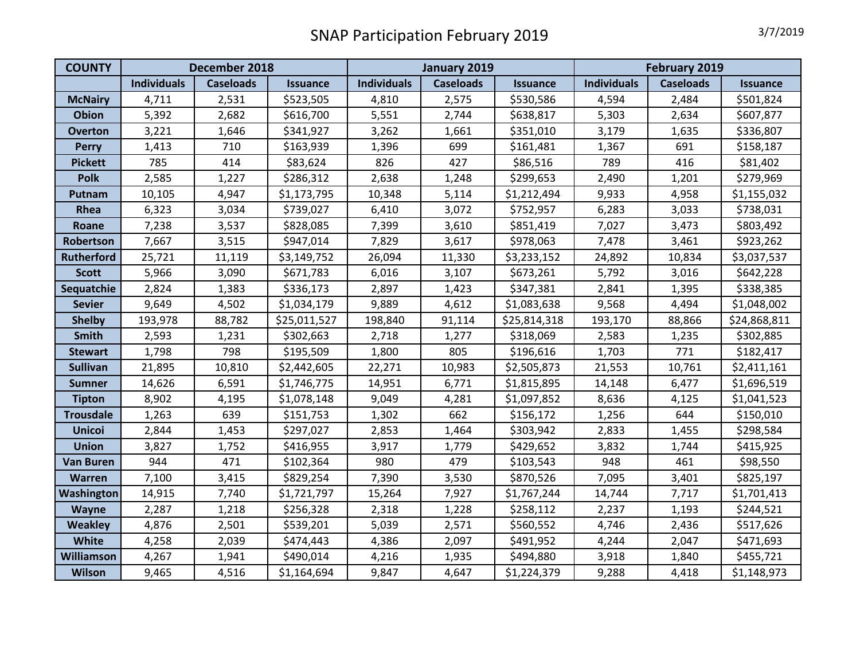| <b>COUNTY</b>     | December 2018      |                  |                 | January 2019       |                  |                 | February 2019      |                  |                 |
|-------------------|--------------------|------------------|-----------------|--------------------|------------------|-----------------|--------------------|------------------|-----------------|
|                   | <b>Individuals</b> | <b>Caseloads</b> | <b>Issuance</b> | <b>Individuals</b> | <b>Caseloads</b> | <b>Issuance</b> | <b>Individuals</b> | <b>Caseloads</b> | <b>Issuance</b> |
| <b>McNairy</b>    | 4,711              | 2,531            | \$523,505       | 4,810              | 2,575            | \$530,586       | 4,594              | 2,484            | \$501,824       |
| <b>Obion</b>      | 5,392              | 2,682            | \$616,700       | 5,551              | 2,744            | \$638,817       | 5,303              | 2,634            | \$607,877       |
| <b>Overton</b>    | 3,221              | 1,646            | \$341,927       | 3,262              | 1,661            | \$351,010       | 3,179              | 1,635            | \$336,807       |
| <b>Perry</b>      | 1,413              | 710              | \$163,939       | 1,396              | 699              | \$161,481       | 1,367              | 691              | \$158,187       |
| <b>Pickett</b>    | 785                | 414              | \$83,624        | 826                | 427              | \$86,516        | 789                | 416              | \$81,402        |
| <b>Polk</b>       | 2,585              | 1,227            | \$286,312       | 2,638              | 1,248            | \$299,653       | 2,490              | 1,201            | \$279,969       |
| Putnam            | 10,105             | 4,947            | \$1,173,795     | 10,348             | 5,114            | \$1,212,494     | 9,933              | 4,958            | \$1,155,032     |
| Rhea              | 6,323              | 3,034            | \$739,027       | 6,410              | 3,072            | \$752,957       | 6,283              | 3,033            | \$738,031       |
| Roane             | 7,238              | 3,537            | \$828,085       | 7,399              | 3,610            | \$851,419       | 7,027              | 3,473            | \$803,492       |
| Robertson         | 7,667              | 3,515            | \$947,014       | 7,829              | 3,617            | \$978,063       | 7,478              | 3,461            | \$923,262       |
| <b>Rutherford</b> | 25,721             | 11,119           | \$3,149,752     | 26,094             | 11,330           | \$3,233,152     | 24,892             | 10,834           | \$3,037,537     |
| <b>Scott</b>      | 5,966              | 3,090            | \$671,783       | 6,016              | 3,107            | \$673,261       | 5,792              | 3,016            | \$642,228       |
| Sequatchie        | 2,824              | 1,383            | \$336,173       | 2,897              | 1,423            | \$347,381       | 2,841              | 1,395            | \$338,385       |
| <b>Sevier</b>     | 9,649              | 4,502            | \$1,034,179     | 9,889              | 4,612            | \$1,083,638     | 9,568              | 4,494            | \$1,048,002     |
| <b>Shelby</b>     | 193,978            | 88,782           | \$25,011,527    | 198,840            | 91,114           | \$25,814,318    | 193,170            | 88,866           | \$24,868,811    |
| Smith             | 2,593              | 1,231            | \$302,663       | 2,718              | 1,277            | \$318,069       | 2,583              | 1,235            | \$302,885       |
| <b>Stewart</b>    | 1,798              | 798              | \$195,509       | 1,800              | 805              | \$196,616       | 1,703              | 771              | \$182,417       |
| <b>Sullivan</b>   | 21,895             | 10,810           | \$2,442,605     | 22,271             | 10,983           | \$2,505,873     | 21,553             | 10,761           | \$2,411,161     |
| <b>Sumner</b>     | 14,626             | 6,591            | \$1,746,775     | 14,951             | 6,771            | \$1,815,895     | 14,148             | 6,477            | \$1,696,519     |
| <b>Tipton</b>     | 8,902              | 4,195            | \$1,078,148     | 9,049              | 4,281            | \$1,097,852     | 8,636              | 4,125            | \$1,041,523     |
| <b>Trousdale</b>  | 1,263              | 639              | \$151,753       | 1,302              | 662              | \$156,172       | 1,256              | 644              | \$150,010       |
| <b>Unicoi</b>     | 2,844              | 1,453            | \$297,027       | 2,853              | 1,464            | \$303,942       | 2,833              | 1,455            | \$298,584       |
| <b>Union</b>      | 3,827              | 1,752            | \$416,955       | 3,917              | 1,779            | \$429,652       | 3,832              | 1,744            | \$415,925       |
| <b>Van Buren</b>  | 944                | 471              | \$102,364       | 980                | 479              | \$103,543       | 948                | 461              | \$98,550        |
| <b>Warren</b>     | 7,100              | 3,415            | \$829,254       | 7,390              | 3,530            | \$870,526       | 7,095              | 3,401            | \$825,197       |
| Washington        | 14,915             | 7,740            | \$1,721,797     | 15,264             | 7,927            | \$1,767,244     | 14,744             | 7,717            | \$1,701,413     |
| Wayne             | 2,287              | 1,218            | \$256,328       | 2,318              | 1,228            | \$258,112       | 2,237              | 1,193            | \$244,521       |
| <b>Weakley</b>    | 4,876              | 2,501            | \$539,201       | 5,039              | 2,571            | \$560,552       | 4,746              | 2,436            | \$517,626       |
| White             | 4,258              | 2,039            | \$474,443       | 4,386              | 2,097            | \$491,952       | 4,244              | 2,047            | \$471,693       |
| Williamson        | 4,267              | 1,941            | \$490,014       | 4,216              | 1,935            | \$494,880       | 3,918              | 1,840            | \$455,721       |
| <b>Wilson</b>     | 9,465              | 4,516            | \$1,164,694     | 9,847              | 4,647            | \$1,224,379     | 9,288              | 4,418            | \$1,148,973     |